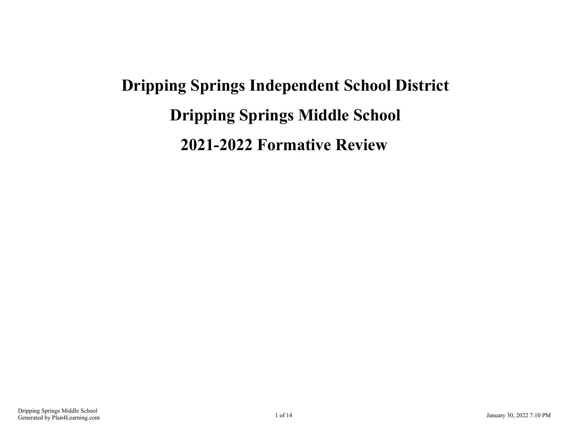## **Dripping Springs Independent School District Dripping Springs Middle School 2021-2022 Formative Review**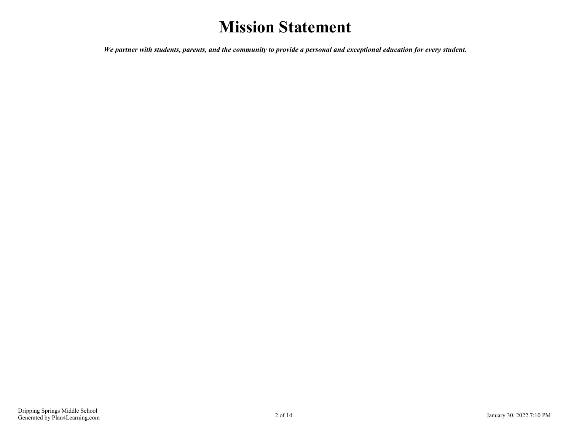## **Mission Statement**

*We partner with students, parents, and the community to provide a personal and exceptional education for every student.*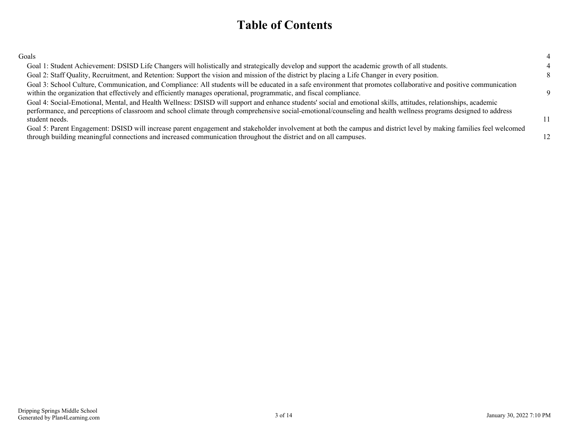## **Table of Contents**

| Goals                                                                                                                                                                                                                                                                                                                                                |  |
|------------------------------------------------------------------------------------------------------------------------------------------------------------------------------------------------------------------------------------------------------------------------------------------------------------------------------------------------------|--|
| Goal 1: Student Achievement: DSISD Life Changers will holistically and strategically develop and support the academic growth of all students.                                                                                                                                                                                                        |  |
| Goal 2: Staff Quality, Recruitment, and Retention: Support the vision and mission of the district by placing a Life Changer in every position.                                                                                                                                                                                                       |  |
| Goal 3: School Culture, Communication, and Compliance: All students will be educated in a safe environment that promotes collaborative and positive communication<br>within the organization that effectively and efficiently manages operational, programmatic, and fiscal compliance.                                                              |  |
| Goal 4: Social-Emotional, Mental, and Health Wellness: DSISD will support and enhance students' social and emotional skills, attitudes, relationships, academic<br>performance, and perceptions of classroom and school climate through comprehensive social-emotional/counseling and health wellness programs designed to address<br>student needs. |  |
| Goal 5: Parent Engagement: DSISD will increase parent engagement and stakeholder involvement at both the campus and district level by making families feel welcomed<br>through building meaningful connections and increased communication throughout the district and on all campuses.                                                              |  |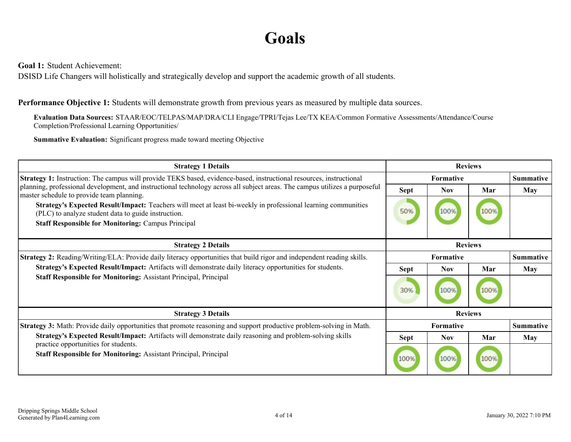## **Goals**

<span id="page-3-0"></span>**Goal 1:** Student Achievement:

DSISD Life Changers will holistically and strategically develop and support the academic growth of all students.

**Performance Objective 1:** Students will demonstrate growth from previous years as measured by multiple data sources.

**Evaluation Data Sources:** STAAR/EOC/TELPAS/MAP/DRA/CLI Engage/TPRI/Tejas Lee/TX KEA/Common Formative Assessments/Attendance/Course Completion/Professional Learning Opportunities/

**Summative Evaluation:** Significant progress made toward meeting Objective

| <b>Strategy 1 Details</b>                                                                                                                                                | <b>Reviews</b>   |                  |      |                  |
|--------------------------------------------------------------------------------------------------------------------------------------------------------------------------|------------------|------------------|------|------------------|
| <b>Strategy 1:</b> Instruction: The campus will provide TEKS based, evidence-based, instructional resources, instructional                                               |                  | Formative        |      | <b>Summative</b> |
| planning, professional development, and instructional technology across all subject areas. The campus utilizes a purposeful<br>master schedule to provide team planning. | <b>Sept</b>      | <b>Nov</b>       | Mar  | May              |
| Strategy's Expected Result/Impact: Teachers will meet at least bi-weekly in professional learning communities<br>(PLC) to analyze student data to guide instruction.     | 50%              | 100%             | 100% |                  |
| <b>Staff Responsible for Monitoring: Campus Principal</b>                                                                                                                |                  |                  |      |                  |
| <b>Strategy 2 Details</b>                                                                                                                                                |                  | <b>Reviews</b>   |      |                  |
| <b>Strategy 2:</b> Reading/Writing/ELA: Provide daily literacy opportunities that build rigor and independent reading skills.                                            | <b>Formative</b> |                  |      | <b>Summative</b> |
| Strategy's Expected Result/Impact: Artifacts will demonstrate daily literacy opportunities for students.                                                                 | <b>Sept</b>      | <b>Nov</b>       | Mar  | May              |
| <b>Staff Responsible for Monitoring: Assistant Principal, Principal</b>                                                                                                  | 30%              | 100%             | 100% |                  |
| <b>Strategy 3 Details</b>                                                                                                                                                |                  | <b>Reviews</b>   |      |                  |
| <b>Strategy 3:</b> Math: Provide daily opportunities that promote reasoning and support productive problem-solving in Math.                                              |                  | <b>Formative</b> |      | <b>Summative</b> |
| Strategy's Expected Result/Impact: Artifacts will demonstrate daily reasoning and problem-solving skills                                                                 | <b>Sept</b>      | <b>Nov</b>       | Mar  | <b>May</b>       |
| practice opportunities for students.<br><b>Staff Responsible for Monitoring: Assistant Principal, Principal</b>                                                          | 100%             | 100%             | 100% |                  |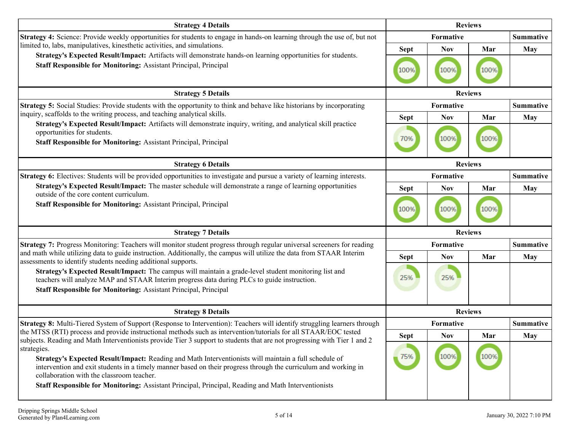| <b>Strategy 4 Details</b>                                                                                                                                                                                                                                                                                                                                                                                                                                                                                                | <b>Reviews</b> |            |                |                  |
|--------------------------------------------------------------------------------------------------------------------------------------------------------------------------------------------------------------------------------------------------------------------------------------------------------------------------------------------------------------------------------------------------------------------------------------------------------------------------------------------------------------------------|----------------|------------|----------------|------------------|
| Strategy 4: Science: Provide weekly opportunities for students to engage in hands-on learning through the use of, but not                                                                                                                                                                                                                                                                                                                                                                                                |                | Formative  |                | <b>Summative</b> |
| limited to, labs, manipulatives, kinesthetic activities, and simulations.                                                                                                                                                                                                                                                                                                                                                                                                                                                | <b>Sept</b>    | <b>Nov</b> | Mar            | <b>May</b>       |
| Strategy's Expected Result/Impact: Artifacts will demonstrate hands-on learning opportunities for students.<br>Staff Responsible for Monitoring: Assistant Principal, Principal                                                                                                                                                                                                                                                                                                                                          | 100%           | 100%       | 100%           |                  |
| <b>Strategy 5 Details</b>                                                                                                                                                                                                                                                                                                                                                                                                                                                                                                |                |            | <b>Reviews</b> |                  |
| Strategy 5: Social Studies: Provide students with the opportunity to think and behave like historians by incorporating                                                                                                                                                                                                                                                                                                                                                                                                   |                | Formative  |                | <b>Summative</b> |
| inquiry, scaffolds to the writing process, and teaching analytical skills.                                                                                                                                                                                                                                                                                                                                                                                                                                               | <b>Sept</b>    | <b>Nov</b> | Mar            | <b>May</b>       |
| Strategy's Expected Result/Impact: Artifacts will demonstrate inquiry, writing, and analytical skill practice<br>opportunities for students.<br><b>Staff Responsible for Monitoring: Assistant Principal, Principal</b>                                                                                                                                                                                                                                                                                                  | 70%            | 100%       | 100%           |                  |
| <b>Strategy 6 Details</b>                                                                                                                                                                                                                                                                                                                                                                                                                                                                                                | <b>Reviews</b> |            |                |                  |
| Strategy 6: Electives: Students will be provided opportunities to investigate and pursue a variety of learning interests.                                                                                                                                                                                                                                                                                                                                                                                                |                | Formative  |                | <b>Summative</b> |
| Strategy's Expected Result/Impact: The master schedule will demonstrate a range of learning opportunities                                                                                                                                                                                                                                                                                                                                                                                                                | <b>Sept</b>    | <b>Nov</b> | Mar            | <b>May</b>       |
| outside of the core content curriculum.<br><b>Staff Responsible for Monitoring: Assistant Principal, Principal</b>                                                                                                                                                                                                                                                                                                                                                                                                       | 100%           | 100%       | 100%           |                  |
| <b>Strategy 7 Details</b>                                                                                                                                                                                                                                                                                                                                                                                                                                                                                                |                |            | <b>Reviews</b> |                  |
| Strategy 7: Progress Monitoring: Teachers will monitor student progress through regular universal screeners for reading                                                                                                                                                                                                                                                                                                                                                                                                  |                | Formative  |                | <b>Summative</b> |
| and math while utilizing data to guide instruction. Additionally, the campus will utilize the data from STAAR Interim<br>assessments to identify students needing additional supports.                                                                                                                                                                                                                                                                                                                                   | <b>Sept</b>    | <b>Nov</b> | Mar            | <b>May</b>       |
| Strategy's Expected Result/Impact: The campus will maintain a grade-level student monitoring list and<br>teachers will analyze MAP and STAAR Interim progress data during PLCs to guide instruction.<br><b>Staff Responsible for Monitoring: Assistant Principal, Principal</b>                                                                                                                                                                                                                                          | 25%            | 25%        |                |                  |
| <b>Strategy 8 Details</b>                                                                                                                                                                                                                                                                                                                                                                                                                                                                                                |                |            | <b>Reviews</b> |                  |
| Strategy 8: Multi-Tiered System of Support (Response to Intervention): Teachers will identify struggling learners through                                                                                                                                                                                                                                                                                                                                                                                                |                | Formative  |                | <b>Summative</b> |
| the MTSS (RTI) process and provide instructional methods such as intervention/tutorials for all STAAR/EOC tested                                                                                                                                                                                                                                                                                                                                                                                                         | <b>Sept</b>    | <b>Nov</b> | Mar            | May              |
| subjects. Reading and Math Interventionists provide Tier 3 support to students that are not progressing with Tier 1 and 2<br>strategies.<br>Strategy's Expected Result/Impact: Reading and Math Interventionists will maintain a full schedule of<br>intervention and exit students in a timely manner based on their progress through the curriculum and working in<br>collaboration with the classroom teacher.<br>Staff Responsible for Monitoring: Assistant Principal, Principal, Reading and Math Interventionists | 75%            | 100%       | 100%           |                  |
|                                                                                                                                                                                                                                                                                                                                                                                                                                                                                                                          |                |            |                |                  |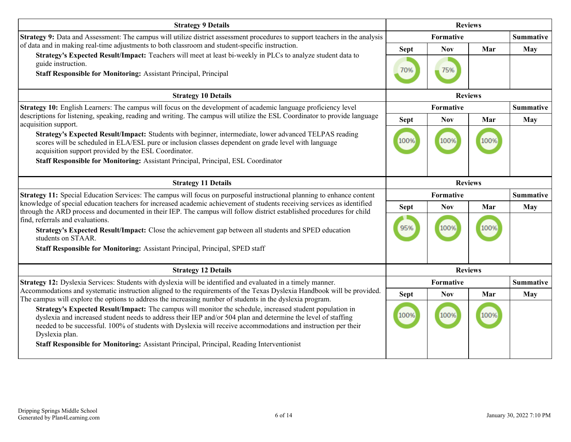| <b>Strategy 9 Details</b>                                                                                                                                                                                                                                                                                                                                    | <b>Reviews</b> |                  |                |                  |
|--------------------------------------------------------------------------------------------------------------------------------------------------------------------------------------------------------------------------------------------------------------------------------------------------------------------------------------------------------------|----------------|------------------|----------------|------------------|
| Strategy 9: Data and Assessment: The campus will utilize district assessment procedures to support teachers in the analysis                                                                                                                                                                                                                                  |                | Formative        |                | <b>Summative</b> |
| of data and in making real-time adjustments to both classroom and student-specific instruction.                                                                                                                                                                                                                                                              | <b>Sept</b>    | <b>Nov</b>       | Mar            | May              |
| Strategy's Expected Result/Impact: Teachers will meet at least bi-weekly in PLCs to analyze student data to<br>guide instruction.                                                                                                                                                                                                                            |                |                  |                |                  |
| Staff Responsible for Monitoring: Assistant Principal, Principal                                                                                                                                                                                                                                                                                             | 70%            | 75%              |                |                  |
| <b>Strategy 10 Details</b>                                                                                                                                                                                                                                                                                                                                   | <b>Reviews</b> |                  |                |                  |
| Strategy 10: English Learners: The campus will focus on the development of academic language proficiency level                                                                                                                                                                                                                                               |                | <b>Formative</b> |                | <b>Summative</b> |
| descriptions for listening, speaking, reading and writing. The campus will utilize the ESL Coordinator to provide language<br>acquisition support.                                                                                                                                                                                                           | <b>Sept</b>    | <b>Nov</b>       | Mar            | May              |
| Strategy's Expected Result/Impact: Students with beginner, intermediate, lower advanced TELPAS reading<br>scores will be scheduled in ELA/ESL pure or inclusion classes dependent on grade level with language<br>acquisition support provided by the ESL Coordinator.                                                                                       | 100%           | 100%             | 100%           |                  |
| Staff Responsible for Monitoring: Assistant Principal, Principal, ESL Coordinator                                                                                                                                                                                                                                                                            |                |                  |                |                  |
| <b>Strategy 11 Details</b>                                                                                                                                                                                                                                                                                                                                   |                |                  | <b>Reviews</b> |                  |
| Strategy 11: Special Education Services: The campus will focus on purposeful instructional planning to enhance content                                                                                                                                                                                                                                       | Formative      |                  |                | <b>Summative</b> |
| knowledge of special education teachers for increased academic achievement of students receiving services as identified<br>through the ARD process and documented in their IEP. The campus will follow district established procedures for child                                                                                                             | <b>Sept</b>    | <b>Nov</b>       | Mar            | May              |
| find, referrals and evaluations.                                                                                                                                                                                                                                                                                                                             |                |                  |                |                  |
| Strategy's Expected Result/Impact: Close the achievement gap between all students and SPED education<br>students on STAAR.                                                                                                                                                                                                                                   | 95%            | 100%             |                |                  |
| Staff Responsible for Monitoring: Assistant Principal, Principal, SPED staff                                                                                                                                                                                                                                                                                 |                |                  |                |                  |
| <b>Strategy 12 Details</b>                                                                                                                                                                                                                                                                                                                                   |                | <b>Reviews</b>   |                |                  |
| Strategy 12: Dyslexia Services: Students with dyslexia will be identified and evaluated in a timely manner.                                                                                                                                                                                                                                                  |                | Formative        |                | <b>Summative</b> |
| Accommodations and systematic instruction aligned to the requirements of the Texas Dyslexia Handbook will be provided.<br>The campus will explore the options to address the increasing number of students in the dyslexia program.                                                                                                                          | <b>Sept</b>    | <b>Nov</b>       | Mar            | May              |
| Strategy's Expected Result/Impact: The campus will monitor the schedule, increased student population in<br>dyslexia and increased student needs to address their IEP and/or 504 plan and determine the level of staffing<br>needed to be successful. 100% of students with Dyslexia will receive accommodations and instruction per their<br>Dyslexia plan. | 100%           | 100%             | 100%           |                  |
| Staff Responsible for Monitoring: Assistant Principal, Principal, Reading Interventionist                                                                                                                                                                                                                                                                    |                |                  |                |                  |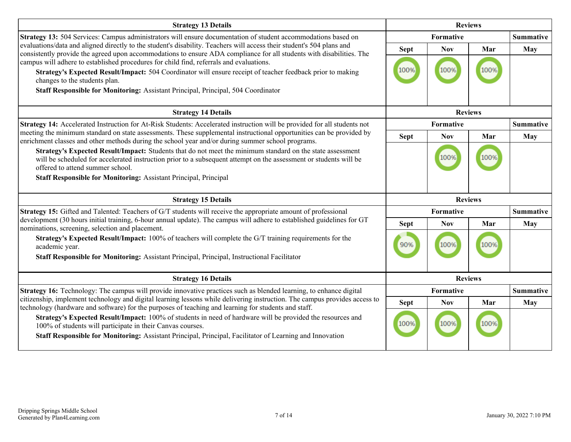| <b>Strategy 13 Details</b>                                                                                                                                                                                                                                                       | <b>Reviews</b> |            |                |                  |  |
|----------------------------------------------------------------------------------------------------------------------------------------------------------------------------------------------------------------------------------------------------------------------------------|----------------|------------|----------------|------------------|--|
| Strategy 13: 504 Services: Campus administrators will ensure documentation of student accommodations based on                                                                                                                                                                    |                | Formative  |                | <b>Summative</b> |  |
| evaluations/data and aligned directly to the student's disability. Teachers will access their student's 504 plans and<br>consistently provide the agreed upon accommodations to ensure ADA compliance for all students with disabilities. The                                    | <b>Sept</b>    | <b>Nov</b> | Mar            | May              |  |
| campus will adhere to established procedures for child find, referrals and evaluations.<br>Strategy's Expected Result/Impact: 504 Coordinator will ensure receipt of teacher feedback prior to making<br>changes to the students plan.                                           | 100%           | 100%       | 100%           |                  |  |
| Staff Responsible for Monitoring: Assistant Principal, Principal, 504 Coordinator                                                                                                                                                                                                |                |            |                |                  |  |
| <b>Strategy 14 Details</b>                                                                                                                                                                                                                                                       |                |            | <b>Reviews</b> |                  |  |
| Strategy 14: Accelerated Instruction for At-Risk Students: Accelerated instruction will be provided for all students not                                                                                                                                                         |                | Formative  |                | <b>Summative</b> |  |
| meeting the minimum standard on state assessments. These supplemental instructional opportunities can be provided by<br>enrichment classes and other methods during the school year and/or during summer school programs.                                                        | <b>Sept</b>    | <b>Nov</b> | Mar            | <b>May</b>       |  |
| Strategy's Expected Result/Impact: Students that do not meet the minimum standard on the state assessment<br>will be scheduled for accelerated instruction prior to a subsequent attempt on the assessment or students will be<br>offered to attend summer school.               |                | 1009       |                |                  |  |
| <b>Staff Responsible for Monitoring: Assistant Principal, Principal</b>                                                                                                                                                                                                          |                |            |                |                  |  |
| <b>Strategy 15 Details</b>                                                                                                                                                                                                                                                       |                |            | <b>Reviews</b> |                  |  |
| Strategy 15: Gifted and Talented: Teachers of G/T students will receive the appropriate amount of professional                                                                                                                                                                   |                | Formative  |                | <b>Summative</b> |  |
| development (30 hours initial training, 6-hour annual update). The campus will adhere to established guidelines for GT<br>nominations, screening, selection and placement.                                                                                                       | <b>Sept</b>    | <b>Nov</b> | Mar            | May              |  |
| Strategy's Expected Result/Impact: 100% of teachers will complete the G/T training requirements for the<br>academic year.<br>Staff Responsible for Monitoring: Assistant Principal, Principal, Instructional Facilitator                                                         | 90%            | 100%       | 100%           |                  |  |
| <b>Strategy 16 Details</b>                                                                                                                                                                                                                                                       |                |            | <b>Reviews</b> |                  |  |
| Strategy 16: Technology: The campus will provide innovative practices such as blended learning, to enhance digital                                                                                                                                                               |                | Formative  |                | <b>Summative</b> |  |
| citizenship, implement technology and digital learning lessons while delivering instruction. The campus provides access to                                                                                                                                                       | <b>Sept</b>    | <b>Nov</b> | Mar            | May              |  |
| technology (hardware and software) for the purposes of teaching and learning for students and staff.<br>Strategy's Expected Result/Impact: 100% of students in need of hardware will be provided the resources and<br>100% of students will participate in their Canvas courses. | 100%           | 100%       |                |                  |  |
| Staff Responsible for Monitoring: Assistant Principal, Principal, Facilitator of Learning and Innovation                                                                                                                                                                         |                |            |                |                  |  |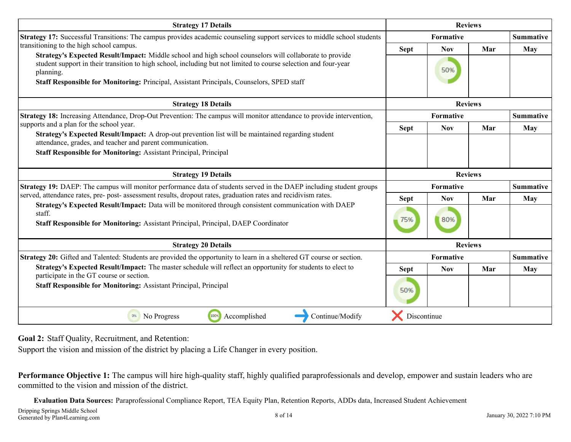<span id="page-7-0"></span>

| <b>Strategy 17 Details</b>                                                                                                                                                                                                              | <b>Reviews</b> |            |                |                  |
|-----------------------------------------------------------------------------------------------------------------------------------------------------------------------------------------------------------------------------------------|----------------|------------|----------------|------------------|
| Strategy 17: Successful Transitions: The campus provides academic counseling support services to middle school students                                                                                                                 |                | Formative  |                | <b>Summative</b> |
| transitioning to the high school campus.                                                                                                                                                                                                | <b>Sept</b>    | <b>Nov</b> | Mar            | May              |
| Strategy's Expected Result/Impact: Middle school and high school counselors will collaborate to provide<br>student support in their transition to high school, including but not limited to course selection and four-year<br>planning. |                | 50%        |                |                  |
| Staff Responsible for Monitoring: Principal, Assistant Principals, Counselors, SPED staff                                                                                                                                               |                |            |                |                  |
| <b>Strategy 18 Details</b>                                                                                                                                                                                                              |                |            | <b>Reviews</b> |                  |
| Strategy 18: Increasing Attendance, Drop-Out Prevention: The campus will monitor attendance to provide intervention,                                                                                                                    |                | Formative  |                | <b>Summative</b> |
| supports and a plan for the school year.                                                                                                                                                                                                | <b>Sept</b>    | <b>Nov</b> | Mar            | <b>May</b>       |
| Strategy's Expected Result/Impact: A drop-out prevention list will be maintained regarding student<br>attendance, grades, and teacher and parent communication.                                                                         |                |            |                |                  |
| <b>Staff Responsible for Monitoring: Assistant Principal, Principal</b>                                                                                                                                                                 |                |            |                |                  |
|                                                                                                                                                                                                                                         |                |            |                |                  |
| <b>Strategy 19 Details</b>                                                                                                                                                                                                              |                |            | <b>Reviews</b> |                  |
| Strategy 19: DAEP: The campus will monitor performance data of students served in the DAEP including student groups                                                                                                                     |                | Formative  |                | <b>Summative</b> |
| served, attendance rates, pre- post- assessment results, dropout rates, graduation rates and recidivism rates.                                                                                                                          | <b>Sept</b>    | <b>Nov</b> | Mar            | May              |
| Strategy's Expected Result/Impact: Data will be monitored through consistent communication with DAEP<br>staff.                                                                                                                          |                |            |                |                  |
| Staff Responsible for Monitoring: Assistant Principal, Principal, DAEP Coordinator                                                                                                                                                      | 75%            | 80%        |                |                  |
| <b>Strategy 20 Details</b>                                                                                                                                                                                                              |                |            | <b>Reviews</b> |                  |
| Strategy 20: Gifted and Talented: Students are provided the opportunity to learn in a sheltered GT course or section.                                                                                                                   |                | Formative  |                | <b>Summative</b> |
| Strategy's Expected Result/Impact: The master schedule will reflect an opportunity for students to elect to                                                                                                                             | <b>Sept</b>    | <b>Nov</b> | Mar            | May              |
| participate in the GT course or section.                                                                                                                                                                                                |                |            |                |                  |
| <b>Staff Responsible for Monitoring: Assistant Principal, Principal</b>                                                                                                                                                                 | 50%            |            |                |                  |
| 100%<br>0%<br>Accomplished<br>Continue/Modify<br>No Progress                                                                                                                                                                            | Discontinue    |            |                |                  |

**Goal 2:** Staff Quality, Recruitment, and Retention:

Support the vision and mission of the district by placing a Life Changer in every position.

**Performance Objective 1:** The campus will hire high-quality staff, highly qualified paraprofessionals and develop, empower and sustain leaders who are committed to the vision and mission of the district.

**Evaluation Data Sources:** Paraprofessional Compliance Report, TEA Equity Plan, Retention Reports, ADDs data, Increased Student Achievement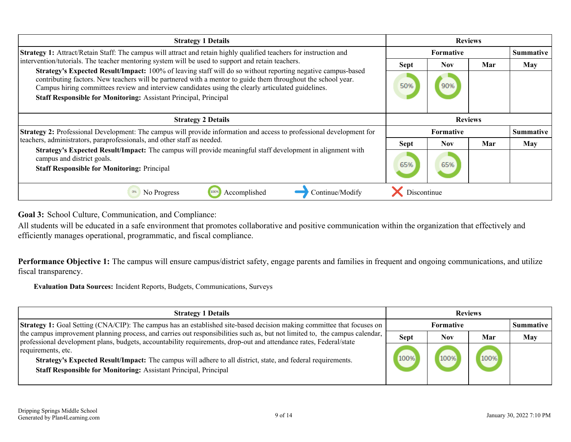<span id="page-8-0"></span>

| <b>Strategy 1 Details</b>                                                                                                                                                                                                                                                                                                                                                                             | <b>Reviews</b>   |            |     |                  |
|-------------------------------------------------------------------------------------------------------------------------------------------------------------------------------------------------------------------------------------------------------------------------------------------------------------------------------------------------------------------------------------------------------|------------------|------------|-----|------------------|
| <b>Strategy 1:</b> Attract/Retain Staff: The campus will attract and retain highly qualified teachers for instruction and                                                                                                                                                                                                                                                                             |                  | Formative  |     | <b>Summative</b> |
| intervention/tutorials. The teacher mentoring system will be used to support and retain teachers.                                                                                                                                                                                                                                                                                                     | <b>Sept</b>      | <b>Nov</b> | Mar | May              |
| Strategy's Expected Result/Impact: 100% of leaving staff will do so without reporting negative campus-based<br>contributing factors. New teachers will be partnered with a mentor to guide them throughout the school year.<br>Campus hiring committees review and interview candidates using the clearly articulated guidelines.<br>Staff Responsible for Monitoring: Assistant Principal, Principal | 50%              | 90%        |     |                  |
| <b>Strategy 2 Details</b>                                                                                                                                                                                                                                                                                                                                                                             | <b>Reviews</b>   |            |     |                  |
| <b>Strategy 2:</b> Professional Development: The campus will provide information and access to professional development for                                                                                                                                                                                                                                                                           | <b>Formative</b> |            |     | <b>Summative</b> |
| teachers, administrators, paraprofessionals, and other staff as needed.                                                                                                                                                                                                                                                                                                                               | <b>Sept</b>      | <b>Nov</b> | Mar | May              |
| Strategy's Expected Result/Impact: The campus will provide meaningful staff development in alignment with<br>campus and district goals.<br><b>Staff Responsible for Monitoring: Principal</b>                                                                                                                                                                                                         | 65%              | 65%        |     |                  |
| Accomplished<br>Continue/Modify<br>No Progress<br>0%<br>100%                                                                                                                                                                                                                                                                                                                                          | Discontinue      |            |     |                  |

**Goal 3:** School Culture, Communication, and Compliance:

All students will be educated in a safe environment that promotes collaborative and positive communication within the organization that effectively and efficiently manages operational, programmatic, and fiscal compliance.

**Performance Objective 1:** The campus will ensure campus/district safety, engage parents and families in frequent and ongoing communications, and utilize fiscal transparency.

**Evaluation Data Sources:** Incident Reports, Budgets, Communications, Surveys

| <b>Strategy 1 Details</b>                                                                                                                                                                                                                         | <b>Reviews</b> |                  |     |                  |
|---------------------------------------------------------------------------------------------------------------------------------------------------------------------------------------------------------------------------------------------------|----------------|------------------|-----|------------------|
| <b>Strategy 1:</b> Goal Setting (CNA/CIP): The campus has an established site-based decision making committee that focuses on                                                                                                                     |                | <b>Formative</b> |     | <b>Summative</b> |
| the campus improvement planning process, and carries out responsibilities such as, but not limited to, the campus calendar,<br>professional development plans, budgets, accountability requirements, drop-out and attendance rates, Federal/state | <b>Sept</b>    | Nov              | Mar | <b>May</b>       |
| requirements, etc.<br>Strategy's Expected Result/Impact: The campus will adhere to all district, state, and federal requirements.<br><b>Staff Responsible for Monitoring: Assistant Principal, Principal</b>                                      | 100%           | 100%             |     |                  |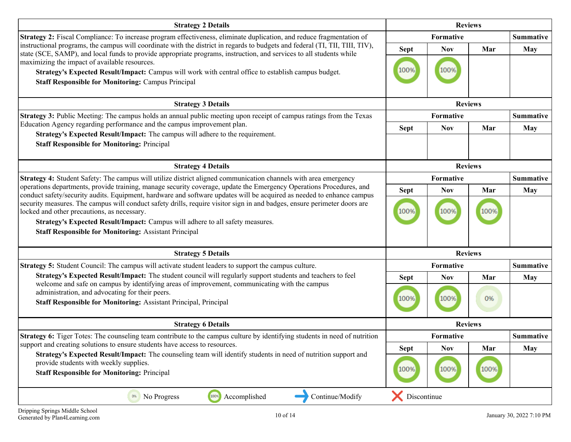| <b>Strategy 2 Details</b>                                                                                                                                                                                                                                                                                                                                                         | <b>Reviews</b> |                |      |                  |
|-----------------------------------------------------------------------------------------------------------------------------------------------------------------------------------------------------------------------------------------------------------------------------------------------------------------------------------------------------------------------------------|----------------|----------------|------|------------------|
| <b>Strategy 2:</b> Fiscal Compliance: To increase program effectiveness, eliminate duplication, and reduce fragmentation of                                                                                                                                                                                                                                                       |                | Formative      |      | <b>Summative</b> |
| instructional programs, the campus will coordinate with the district in regards to budgets and federal (TI, TII, TIII, TIV),<br>state (SCE, SAMP), and local funds to provide appropriate programs, instruction, and services to all students while                                                                                                                               | <b>Sept</b>    | <b>Nov</b>     | Mar  | May              |
| maximizing the impact of available resources.                                                                                                                                                                                                                                                                                                                                     |                |                |      |                  |
| Strategy's Expected Result/Impact: Campus will work with central office to establish campus budget.                                                                                                                                                                                                                                                                               | 100%           | 100%           |      |                  |
| <b>Staff Responsible for Monitoring: Campus Principal</b>                                                                                                                                                                                                                                                                                                                         |                |                |      |                  |
|                                                                                                                                                                                                                                                                                                                                                                                   |                |                |      |                  |
| <b>Strategy 3 Details</b>                                                                                                                                                                                                                                                                                                                                                         |                | <b>Reviews</b> |      |                  |
| <b>Strategy 3:</b> Public Meeting: The campus holds an annual public meeting upon receipt of campus ratings from the Texas                                                                                                                                                                                                                                                        |                | Formative      |      | <b>Summative</b> |
| Education Agency regarding performance and the campus improvement plan.<br>Strategy's Expected Result/Impact: The campus will adhere to the requirement.                                                                                                                                                                                                                          | <b>Sept</b>    | <b>Nov</b>     | Mar  | <b>May</b>       |
| <b>Staff Responsible for Monitoring: Principal</b>                                                                                                                                                                                                                                                                                                                                |                |                |      |                  |
|                                                                                                                                                                                                                                                                                                                                                                                   |                |                |      |                  |
| <b>Strategy 4 Details</b>                                                                                                                                                                                                                                                                                                                                                         |                | <b>Reviews</b> |      |                  |
| Strategy 4: Student Safety: The campus will utilize district aligned communication channels with area emergency                                                                                                                                                                                                                                                                   |                | Formative      |      | <b>Summative</b> |
| operations departments, provide training, manage security coverage, update the Emergency Operations Procedures, and                                                                                                                                                                                                                                                               | <b>Sept</b>    | <b>Nov</b>     | Mar  | <b>May</b>       |
| conduct safety/security audits. Equipment, hardware and software updates will be acquired as needed to enhance campus<br>security measures. The campus will conduct safety drills, require visitor sign in and badges, ensure perimeter doors are<br>locked and other precautions, as necessary.<br>Strategy's Expected Result/Impact: Campus will adhere to all safety measures. | 100%           | 100%           | 100% |                  |
| <b>Staff Responsible for Monitoring: Assistant Principal</b>                                                                                                                                                                                                                                                                                                                      |                |                |      |                  |
| <b>Strategy 5 Details</b>                                                                                                                                                                                                                                                                                                                                                         |                | <b>Reviews</b> |      |                  |
| <b>Strategy 5:</b> Student Council: The campus will activate student leaders to support the campus culture.                                                                                                                                                                                                                                                                       |                | Formative      |      | <b>Summative</b> |
| Strategy's Expected Result/Impact: The student council will regularly support students and teachers to feel                                                                                                                                                                                                                                                                       | <b>Sept</b>    | <b>Nov</b>     | Mar  | May              |
| welcome and safe on campus by identifying areas of improvement, communicating with the campus<br>administration, and advocating for their peers.<br>Staff Responsible for Monitoring: Assistant Principal, Principal                                                                                                                                                              | 100%           | 100%           | 0%   |                  |
| <b>Strategy 6 Details</b>                                                                                                                                                                                                                                                                                                                                                         |                | <b>Reviews</b> |      |                  |
| <b>Strategy 6:</b> Tiger Totes: The counseling team contribute to the campus culture by identifying students in need of nutrition                                                                                                                                                                                                                                                 |                | Formative      |      | <b>Summative</b> |
| support and creating solutions to ensure students have access to resources.                                                                                                                                                                                                                                                                                                       | <b>Sept</b>    | <b>Nov</b>     | Mar  | <b>May</b>       |
| Strategy's Expected Result/Impact: The counseling team will identify students in need of nutrition support and<br>provide students with weekly supplies.<br><b>Staff Responsible for Monitoring: Principal</b>                                                                                                                                                                    | 100%           | 100%           | 100% |                  |
| 100%<br>Accomplished<br>Continue/Modify<br>No Progress<br>0%                                                                                                                                                                                                                                                                                                                      | Discontinue    |                |      |                  |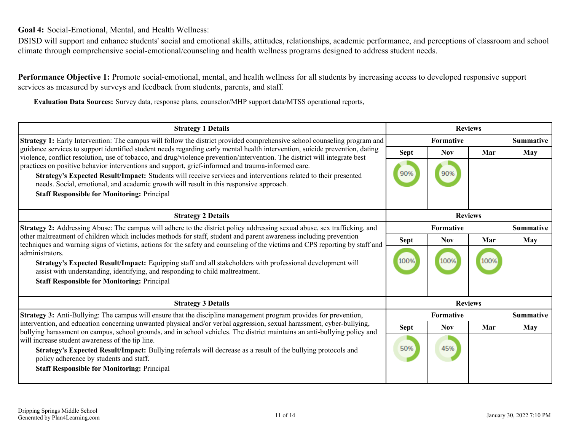<span id="page-10-0"></span>**Goal 4:** Social-Emotional, Mental, and Health Wellness:

DSISD will support and enhance students' social and emotional skills, attitudes, relationships, academic performance, and perceptions of classroom and school climate through comprehensive social-emotional/counseling and health wellness programs designed to address student needs.

**Performance Objective 1:** Promote social-emotional, mental, and health wellness for all students by increasing access to developed responsive support services as measured by surveys and feedback from students, parents, and staff.

**Evaluation Data Sources:** Survey data, response plans, counselor/MHP support data/MTSS operational reports,

| <b>Strategy 1 Details</b>                                                                                                                                                                                                                                                                                                                                            | <b>Reviews</b>   |                  |      |                  |
|----------------------------------------------------------------------------------------------------------------------------------------------------------------------------------------------------------------------------------------------------------------------------------------------------------------------------------------------------------------------|------------------|------------------|------|------------------|
| <b>Strategy 1:</b> Early Intervention: The campus will follow the district provided comprehensive school counseling program and                                                                                                                                                                                                                                      |                  | Formative        |      | <b>Summative</b> |
| guidance services to support identified student needs regarding early mental health intervention, suicide prevention, dating<br>violence, conflict resolution, use of tobacco, and drug/violence prevention/intervention. The district will integrate best                                                                                                           | <b>Sept</b>      | <b>Nov</b>       | Mar  | <b>May</b>       |
| practices on positive behavior interventions and support, grief-informed and trauma-informed care.<br>Strategy's Expected Result/Impact: Students will receive services and interventions related to their presented<br>needs. Social, emotional, and academic growth will result in this responsive approach.<br><b>Staff Responsible for Monitoring: Principal</b> | 90%              | 90%              |      |                  |
|                                                                                                                                                                                                                                                                                                                                                                      |                  |                  |      |                  |
| <b>Strategy 2 Details</b>                                                                                                                                                                                                                                                                                                                                            |                  |                  |      |                  |
| <b>Strategy 2:</b> Addressing Abuse: The campus will adhere to the district policy addressing sexual abuse, sex trafficking, and                                                                                                                                                                                                                                     | <b>Formative</b> |                  |      | <b>Summative</b> |
| other maltreatment of children which includes methods for staff, student and parent awareness including prevention<br>techniques and warning signs of victims, actions for the safety and counseling of the victims and CPS reporting by staff and                                                                                                                   | <b>Sept</b>      | <b>Nov</b>       | Mar  | May              |
| administrators.<br>Strategy's Expected Result/Impact: Equipping staff and all stakeholders with professional development will<br>assist with understanding, identifying, and responding to child maltreatment.<br><b>Staff Responsible for Monitoring: Principal</b>                                                                                                 | 100%             | 100%             | 100% |                  |
| <b>Strategy 3 Details</b>                                                                                                                                                                                                                                                                                                                                            |                  | <b>Reviews</b>   |      |                  |
| Strategy 3: Anti-Bullying: The campus will ensure that the discipline management program provides for prevention,                                                                                                                                                                                                                                                    |                  | <b>Formative</b> |      | <b>Summative</b> |
| intervention, and education concerning unwanted physical and/or verbal aggression, sexual harassment, cyber-bullying,<br>bullying harassment on campus, school grounds, and in school vehicles. The district maintains an anti-bullying policy and                                                                                                                   | <b>Sept</b>      | <b>Nov</b>       | Mar  | May              |
| will increase student awareness of the tip line.<br>Strategy's Expected Result/Impact: Bullying referrals will decrease as a result of the bullying protocols and<br>policy adherence by students and staff.<br><b>Staff Responsible for Monitoring: Principal</b>                                                                                                   | 50%              | 45%              |      |                  |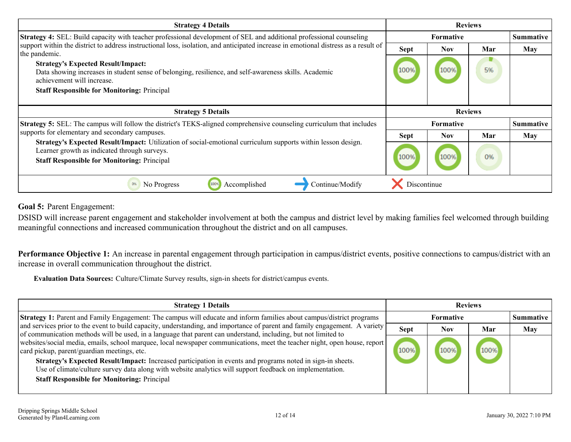<span id="page-11-0"></span>

| <b>Strategy 4 Details</b>                                                                                                                                                                                          | <b>Reviews</b> |            |     |                  |
|--------------------------------------------------------------------------------------------------------------------------------------------------------------------------------------------------------------------|----------------|------------|-----|------------------|
| <b>Strategy 4:</b> SEL: Build capacity with teacher professional development of SEL and additional professional counseling                                                                                         |                | Formative  |     | <b>Summative</b> |
| support within the district to address instructional loss, isolation, and anticipated increase in emotional distress as a result of<br>the pandemic.                                                               | <b>Sept</b>    | <b>Nov</b> | Mar | May              |
| <b>Strategy's Expected Result/Impact:</b><br>Data showing increases in student sense of belonging, resilience, and self-awareness skills. Academic<br>achievement will increase.                                   | 100%           | 100%       | 5%  |                  |
| <b>Staff Responsible for Monitoring: Principal</b>                                                                                                                                                                 |                |            |     |                  |
|                                                                                                                                                                                                                    |                |            |     |                  |
|                                                                                                                                                                                                                    | <b>Reviews</b> |            |     |                  |
| <b>Strategy 5 Details</b>                                                                                                                                                                                          |                |            |     |                  |
| <b>Strategy 5:</b> SEL: The campus will follow the district's TEKS-aligned comprehensive counseling curriculum that includes                                                                                       |                | Formative  |     | <b>Summative</b> |
| supports for elementary and secondary campuses.                                                                                                                                                                    | <b>Sept</b>    | <b>Nov</b> | Mar | May              |
| Strategy's Expected Result/Impact: Utilization of social-emotional curriculum supports within lesson design.<br>Learner growth as indicated through surveys.<br><b>Staff Responsible for Monitoring: Principal</b> | 100%           | 100%       | 0%  |                  |

**Goal 5:** Parent Engagement:

DSISD will increase parent engagement and stakeholder involvement at both the campus and district level by making families feel welcomed through building meaningful connections and increased communication throughout the district and on all campuses.

Performance Objective 1: An increase in parental engagement through participation in campus/district events, positive connections to campus/district with an increase in overall communication throughout the district.

**Evaluation Data Sources:** Culture/Climate Survey results, sign-in sheets for district/campus events.

| <b>Strategy 1 Details</b>                                                                                                                                                                                                                     | <b>Reviews</b> |            |      |                  |
|-----------------------------------------------------------------------------------------------------------------------------------------------------------------------------------------------------------------------------------------------|----------------|------------|------|------------------|
| Strategy 1: Parent and Family Engagement: The campus will educate and inform families about campus/district programs                                                                                                                          |                | Formative  |      | <b>Summative</b> |
| and services prior to the event to build capacity, understanding, and importance of parent and family engagement. A variety<br>of communication methods will be used, in a language that parent can understand, including, but not limited to | <b>Sept</b>    | <b>Nov</b> | Mar  | <b>May</b>       |
| websites/social media, emails, school marquee, local newspaper communications, meet the teacher night, open house, report  <br>card pickup, parent/guardian meetings, etc.                                                                    |                | 100%       | 100% |                  |
| Strategy's Expected Result/Impact: Increased participation in events and programs noted in sign-in sheets.<br>Use of climate/culture survey data along with website analytics will support feedback on implementation.                        |                |            |      |                  |
| <b>Staff Responsible for Monitoring: Principal</b>                                                                                                                                                                                            |                |            |      |                  |
|                                                                                                                                                                                                                                               |                |            |      |                  |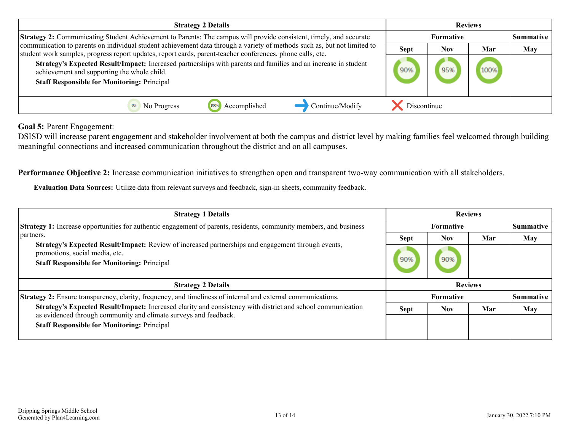| <b>Strategy 2 Details</b>                                                                                                                                                                                                                                                                                                                                                                                                                                     | <b>Reviews</b>   |     |      |                  |
|---------------------------------------------------------------------------------------------------------------------------------------------------------------------------------------------------------------------------------------------------------------------------------------------------------------------------------------------------------------------------------------------------------------------------------------------------------------|------------------|-----|------|------------------|
| Strategy 2: Communicating Student Achievement to Parents: The campus will provide consistent, timely, and accurate                                                                                                                                                                                                                                                                                                                                            | <b>Formative</b> |     |      | <b>Summative</b> |
| communication to parents on individual student achievement data through a variety of methods such as, but not limited to<br>student work samples, progress report updates, report cards, parent-teacher conferences, phone calls, etc.<br>Strategy's Expected Result/Impact: Increased partnerships with parents and families and an increase in student<br>achievement and supporting the whole child.<br><b>Staff Responsible for Monitoring: Principal</b> |                  | Nov | Mar  | <b>May</b>       |
|                                                                                                                                                                                                                                                                                                                                                                                                                                                               |                  | 95% | 100% |                  |
| Continue/Modify<br>Accomplished<br>No Progress                                                                                                                                                                                                                                                                                                                                                                                                                | Discontinue      |     |      |                  |

**Goal 5:** Parent Engagement:

DSISD will increase parent engagement and stakeholder involvement at both the campus and district level by making families feel welcomed through building meaningful connections and increased communication throughout the district and on all campuses.

**Performance Objective 2:** Increase communication initiatives to strengthen open and transparent two-way communication with all stakeholders.

**Evaluation Data Sources:** Utilize data from relevant surveys and feedback, sign-in sheets, community feedback.

| <b>Strategy 1 Details</b>                                                                                                                                                                                                                                                                                                            | <b>Reviews</b>   |                  |     |                  |
|--------------------------------------------------------------------------------------------------------------------------------------------------------------------------------------------------------------------------------------------------------------------------------------------------------------------------------------|------------------|------------------|-----|------------------|
| <b>Strategy 1:</b> Increase opportunities for authentic engagement of parents, residents, community members, and business<br>partners.<br>Strategy's Expected Result/Impact: Review of increased partnerships and engagement through events,<br>promotions, social media, etc.<br><b>Staff Responsible for Monitoring: Principal</b> | <b>Formative</b> |                  |     | Summative        |
|                                                                                                                                                                                                                                                                                                                                      | <b>Sept</b>      | <b>Nov</b>       | Mar | May              |
|                                                                                                                                                                                                                                                                                                                                      | 90%              | 90%              |     |                  |
|                                                                                                                                                                                                                                                                                                                                      |                  |                  |     |                  |
| <b>Strategy 2 Details</b>                                                                                                                                                                                                                                                                                                            |                  | <b>Reviews</b>   |     |                  |
| Strategy 2: Ensure transparency, clarity, frequency, and timeliness of internal and external communications.                                                                                                                                                                                                                         |                  | <b>Formative</b> |     | <b>Summative</b> |
| Strategy's Expected Result/Impact: Increased clarity and consistency with district and school communication<br>as evidenced through community and climate surveys and feedback.                                                                                                                                                      | <b>Sept</b>      | <b>Nov</b>       | Mar | <b>May</b>       |